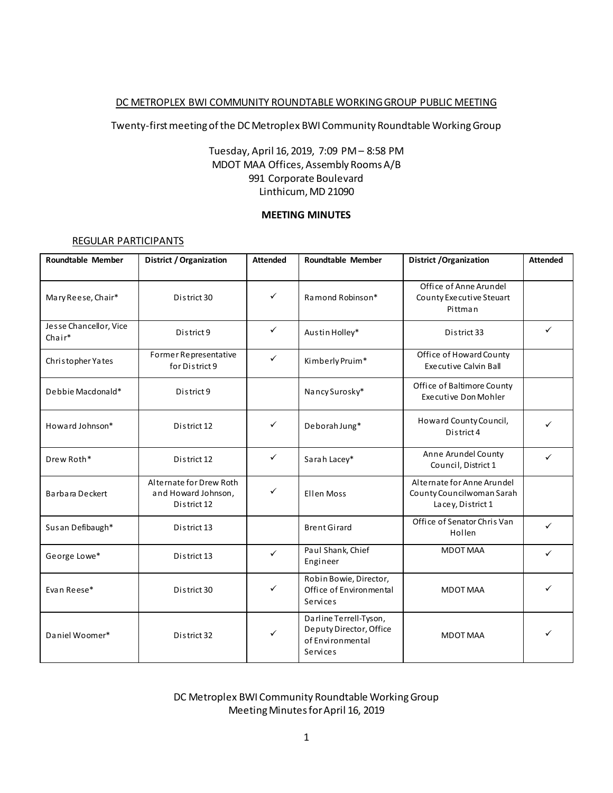#### DC METROPLEX BWI COMMUNITY ROUNDTABLE WORKING GROUP PUBLIC MEETING

#### Twenty-first meeting of the DC Metroplex BWI Community Roundtable Working Group

## Tuesday, April 16, 2019, 7:09 PM – 8:58 PM MDOT MAA Offices, Assembly Rooms A/B 991 Corporate Boulevard Linthicum, MD 21090

## **MEETING MINUTES**

#### REGULAR PARTICIPANTS

| <b>Roundtable Member</b>         | <b>District / Organization</b>                                | <b>Attended</b> | <b>Roundtable Member</b>                                                          | <b>District / Organization</b>                                               | <b>Attended</b> |
|----------------------------------|---------------------------------------------------------------|-----------------|-----------------------------------------------------------------------------------|------------------------------------------------------------------------------|-----------------|
| Mary Reese, Chair*               | District 30                                                   | ✓               | Ramond Robinson*                                                                  | Office of Anne Arundel<br>County Executive Steuart<br>Pittman                |                 |
| Jesse Chancellor, Vice<br>Chair* | District 9                                                    | ✓               | Austin Holley*                                                                    | District 33                                                                  | $\checkmark$    |
| Christopher Yates                | Former Representative<br>for District 9                       | $\checkmark$    | Kimberly Pruim*                                                                   | Office of Howard County<br><b>Executive Calvin Ball</b>                      |                 |
| Debbie Macdonald*                | District 9                                                    |                 | Nancy Surosky*                                                                    | Office of Baltimore County<br>Executive Don Mohler                           |                 |
| Howard Johnson*                  | District 12                                                   | ✓               | Deborah Jung*                                                                     | Howard County Council,<br>District 4                                         | ✓               |
| Drew Roth*                       | District 12                                                   | $\checkmark$    | Sarah Lacey*                                                                      | Anne Arundel County<br>Council, District 1                                   | ✓               |
| Barbara Deckert                  | Alternate for Drew Roth<br>and Howard Johnson,<br>District 12 | $\checkmark$    | Ellen Moss                                                                        | Alternate for Anne Arundel<br>County Councilwoman Sarah<br>Lacey, District 1 |                 |
| Sus an Defibaugh*                | District 13                                                   |                 | <b>Brent Girard</b>                                                               | Office of Senator Chris Van<br>Hollen                                        | ✓               |
| George Lowe*                     | District 13                                                   | ✓               | Paul Shank, Chief<br>Engineer                                                     | <b>MDOT MAA</b>                                                              | ✓               |
| Evan Reese*                      | District 30                                                   | ✓               | Robin Bowie, Director,<br>Office of Environmental<br>Services                     | <b>MDOT MAA</b>                                                              | ✓               |
| Daniel Woomer*                   | District 32                                                   | ✓               | Darline Terrell-Tyson,<br>Deputy Director, Office<br>of Environmental<br>Services | <b>MDOT MAA</b>                                                              |                 |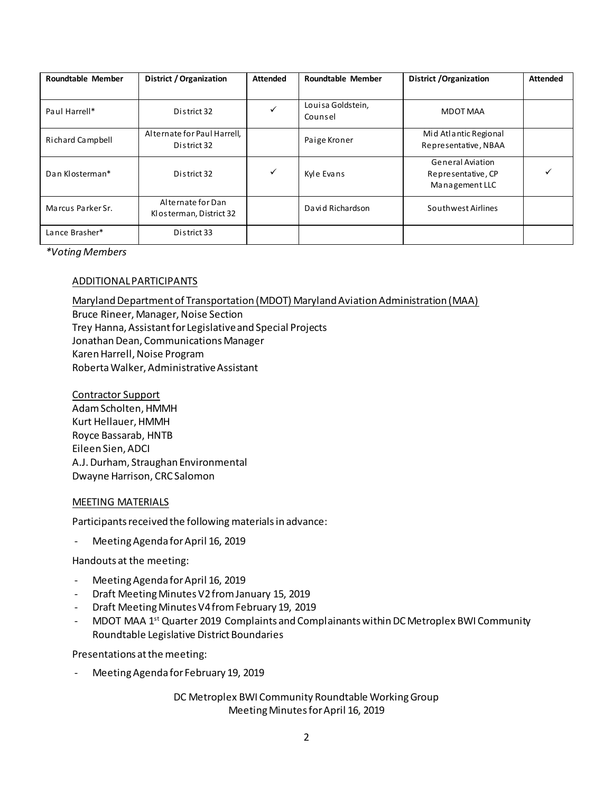| Roundtable Member | District / Organization                      | <b>Attended</b> | Roundtable Member            | <b>District / Organization</b>                                  | <b>Attended</b> |
|-------------------|----------------------------------------------|-----------------|------------------------------|-----------------------------------------------------------------|-----------------|
|                   |                                              |                 |                              |                                                                 |                 |
| Paul Harrell*     | District 32                                  | ✓               | Louisa Goldstein,<br>Counsel | MDOT MAA                                                        |                 |
| Richard Campbell  | Alternate for Paul Harrell,<br>District 32   |                 | Paige Kroner                 | Mid Atlantic Regional<br>Representative, NBAA                   |                 |
| Dan Klosterman*   | District 32                                  | ✓               | Kyle Evans                   | <b>General Aviation</b><br>Representative, CP<br>Management LLC |                 |
| Marcus Parker Sr. | Alternate for Dan<br>Klosterman, District 32 |                 | David Richardson             | Southwest Airlines                                              |                 |
| Lance Brasher*    | District 33                                  |                 |                              |                                                                 |                 |

*\*Voting Members*

#### ADDITIONAL PARTICIPANTS

Maryland Department of Transportation (MDOT) Maryland Aviation Administration (MAA)

Bruce Rineer, Manager, Noise Section Trey Hanna, Assistant for Legislative and Special Projects Jonathan Dean, Communications Manager Karen Harrell, Noise Program Roberta Walker, Administrative Assistant

Contractor Support Adam Scholten, HMMH Kurt Hellauer, HMMH Royce Bassarab, HNTB Eileen Sien, ADCI A.J. Durham, Straughan Environmental Dwayne Harrison, CRC Salomon

#### MEETING MATERIALS

Participants received the following materials in advance:

- Meeting Agenda for April 16, 2019

Handouts at the meeting:

- Meeting Agenda for April 16, 2019
- Draft Meeting Minutes V2 from January 15, 2019
- Draft Meeting Minutes V4 from February 19, 2019
- MDOT MAA 1<sup>st</sup> Quarter 2019 Complaints and Complainants within DC Metroplex BWI Community Roundtable Legislative District Boundaries

Presentations at the meeting:

Meeting Agenda for February 19, 2019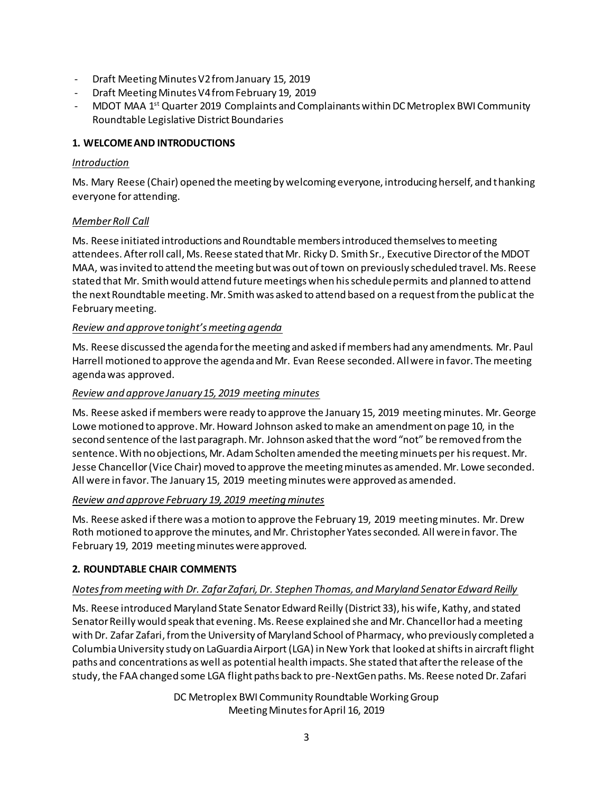- Draft Meeting Minutes V2 from January 15, 2019
- Draft Meeting Minutes V4 from February 19, 2019
- MDOT MAA 1<sup>st</sup> Quarter 2019 Complaints and Complainants within DC Metroplex BWI Community Roundtable Legislative District Boundaries

# **1. WELCOMEAND INTRODUCTIONS**

## *Introduction*

Ms. Mary Reese (Chair) opened the meeting by welcoming everyone, introducing herself, and thanking everyone for attending.

## *Member Roll Call*

Ms. Reese initiated introductions and Roundtable members introduced themselves to meeting attendees. After roll call, Ms. Reese stated that Mr. Ricky D. Smith Sr., Executive Director of the MDOT MAA, was invited to attend the meeting but was out of town on previously scheduled travel. Ms. Reese stated that Mr. Smith would attend future meetings when his schedule permits and planned to attend the next Roundtable meeting. Mr. Smith was asked to attend based on a request from the public at the February meeting.

## *Review and approve tonight's meeting agenda*

Ms. Reese discussed the agenda for the meeting and asked if members had any amendments. Mr. Paul Harrell motioned to approve the agenda and Mr. Evan Reese seconded. All were in favor. The meeting agenda was approved.

#### *Review and approve January 15, 2019 meeting minutes*

Ms. Reese asked if members were ready to approve the January 15, 2019 meeting minutes. Mr. George Lowe motioned to approve. Mr. Howard Johnson asked to make an amendment on page 10, in the second sentence of the last paragraph. Mr. Johnson asked that the word "not" be removed from the sentence. With no objections, Mr. Adam Scholten amended the meeting minuets per hisrequest. Mr. Jesse Chancellor (Vice Chair) moved to approve the meeting minutes as amended. Mr. Lowe seconded. All were in favor. The January 15, 2019 meeting minutes were approved as amended.

## *Review and approve February 19, 2019 meeting minutes*

Ms. Reese asked if there was a motion to approve the February 19, 2019 meeting minutes. Mr.Drew Roth motioned to approve the minutes, and Mr. Christopher Yates seconded. All were in favor. The February 19, 2019 meeting minutes were approved.

## **2. ROUNDTABLE CHAIR COMMENTS**

## *Notes from meeting with Dr. Zafar Zafari, Dr. Stephen Thomas, and Maryland Senator Edward Reilly*

Ms. Reese introduced Maryland State Senator Edward Reilly (District 33), his wife, Kathy, and stated Senator Reilly would speak that evening. Ms. Reese explained she and Mr. Chancellor had a meeting with Dr. Zafar Zafari, from the University of Maryland School of Pharmacy, who previously completed a Columbia University study on LaGuardia Airport (LGA) in New York that looked at shifts in aircraft flight paths and concentrations as well as potential health impacts. She stated that after the release of the study, the FAA changed some LGA flight paths back to pre-NextGen paths. Ms. Reese noted Dr. Zafari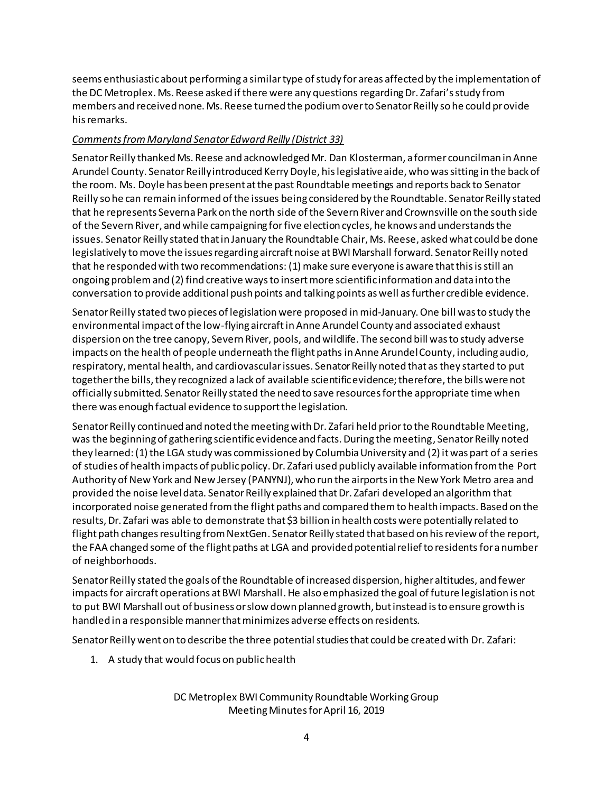seems enthusiastic about performing a similar type of study for areas affected by the implementation of the DC Metroplex. Ms. Reese asked if there were any questions regarding Dr. Zafari's study from members and received none. Ms. Reese turned the podium over to Senator Reilly so he could provide his remarks.

# *Comments from Maryland Senator Edward Reilly (District 33)*

Senator Reilly thanked Ms. Reese and acknowledged Mr. Dan Klosterman, a former councilman in Anne Arundel County. Senator Reilly introduced Kerry Doyle, his legislative aide, who was sitting in the back of the room. Ms. Doyle has been present at the past Roundtable meetings and reports back to Senator Reilly so he can remain informed of the issues being considered by the Roundtable. Senator Reilly stated that he represents Severna Park on the north side of the Severn River and Crownsville on the south side of the Severn River, and while campaigning for five election cycles, he knows and understands the issues. Senator Reilly stated that in January the Roundtable Chair, Ms. Reese, asked what could be done legislatively to move the issues regarding aircraft noise at BWI Marshall forward. Senator Reilly noted that he responded with two recommendations: (1) make sure everyone is aware that this is still an ongoing problemand (2) find creative ways to insert more scientific information and data into the conversation to provide additional push points and talking points as well as further credible evidence.

Senator Reilly stated two pieces of legislation were proposed in mid-January. One bill was to study the environmental impact of the low-flying aircraftin Anne Arundel County and associated exhaust dispersion on the tree canopy, Severn River, pools, and wildlife. The second bill was to study adverse impacts on the health of people underneath the flight paths in Anne Arundel County, including audio, respiratory, mental health, and cardiovascularissues. Senator Reilly noted that asthey started to put together the bills, they recognized a lack of available scientific evidence; therefore, the bills were not officially submitted. Senator Reilly stated the need to save resources for the appropriate time when there was enough factual evidence to support the legislation.

Senator Reilly continued and noted the meetingwith Dr. Zafari held prior to the Roundtable Meeting, was the beginning of gathering scientific evidence and facts. During the meeting, Senator Reilly noted they learned:(1) the LGA study was commissioned by Columbia University and (2) it was part of a series of studies of health impacts of public policy. Dr. Zafari used publicly available information from the Port Authority of New York and New Jersey (PANYNJ), who run the airports in the New York Metro area and provided the noise level data. Senator Reilly explained that Dr. Zafari developed an algorithm that incorporated noise generated from the flight paths and compared them to health impacts. Based on the results, Dr. Zafari was able to demonstrate that \$3 billion in health costs were potentially related to flight path changes resulting from NextGen. Senator Reilly stated that based on his review of the report, the FAA changed some of the flight paths at LGA and provided potential relief to residents for a number of neighborhoods.

Senator Reilly stated the goals of the Roundtable of increased dispersion, higher altitudes, and fewer impactsfor aircraft operations at BWI Marshall. He also emphasized the goal of future legislation is not to put BWI Marshall out of business or slow down planned growth, but instead is to ensure growth is handled in a responsible manner that minimizes adverse effects on residents.

Senator Reilly went on to describe the three potential studies that could be created with Dr. Zafari:

1. A study that would focus on public health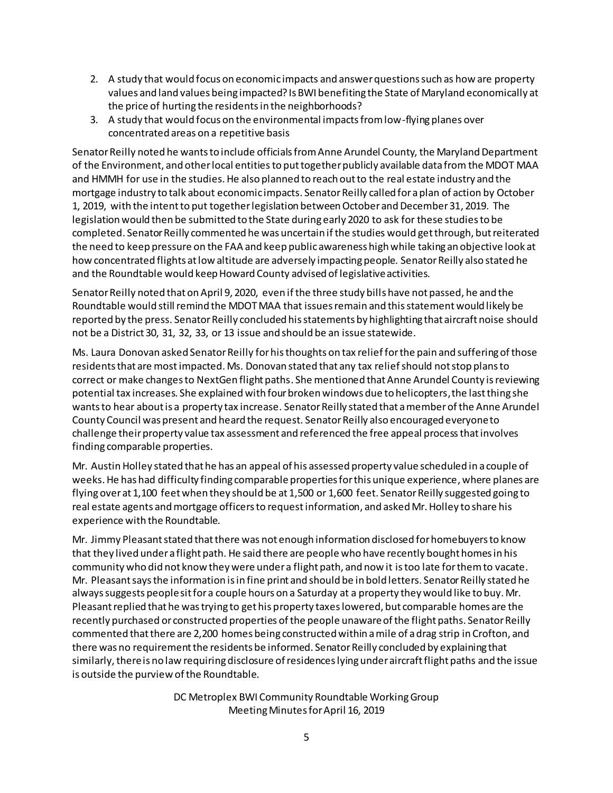- 2. A study that would focus on economic impacts and answer questions such as how are property values and land values being impacted? Is BWI benefiting the State of Maryland economically at the price of hurting the residentsin the neighborhoods?
- 3. A study that would focus on the environmental impacts from low-flying planes over concentrated areas on a repetitive basis

Senator Reilly noted he wants to include officials from Anne Arundel County, the Maryland Department of the Environment, and other local entities to put together publicly available data from the MDOT MAA and HMMH for use in the studies. He also planned to reach out to the real estate industry and the mortgage industry to talk about economic impacts. Senator Reilly called for a plan of action by October 1, 2019, with the intent to put together legislation between October and December 31, 2019. The legislation would then be submitted to the State during early 2020 to ask for these studies to be completed. Senator Reilly commented he was uncertain if the studies would get through, but reiterated the need to keep pressure on the FAA and keep public awareness high while taking an objective look at how concentrated flights at low altitude are adversely impacting people. Senator Reilly also stated he and the Roundtable would keep Howard County advised of legislative activities.

Senator Reilly noted that on April 9, 2020, even if the three study bills have not passed, he and the Roundtable would still remind the MDOT MAA that issues remain and this statement would likely be reported by the press. Senator Reilly concluded his statements by highlighting that aircraft noise should not be a District 30, 31, 32, 33, or 13 issue and should be an issue statewide.

Ms. Laura Donovan asked Senator Reilly for his thoughts on tax relief for the pain and suffering of those residents that are most impacted. Ms. Donovan stated that any tax relief should not stop plans to correct or make changes to NextGen flight paths. She mentioned that Anne Arundel County is reviewing potential tax increases. She explained with four broken windows due to helicopters,the last thing she wants to hear about is a property tax increase. Senator Reilly stated that a member of the Anne Arundel County Council was present and heard the request. Senator Reilly also encouraged everyone to challenge their property value tax assessment and referenced the free appeal processthatinvolves finding comparable properties.

Mr. Austin Holley stated that he has an appeal of his assessed property value scheduled in a couple of weeks. He has had difficulty finding comparable properties for this unique experience, where planes are flying over at 1,100 feetwhen they should be at 1,500 or 1,600 feet. Senator Reilly suggested going to real estate agents and mortgage officers to request information, and asked Mr. Holley to share his experience with the Roundtable.

Mr. Jimmy Pleasant stated that there was not enough information disclosed for homebuyers to know that they lived under a flight path. He said there are people who have recently bought homes in his community who did not know they were under a flight path, and now it istoo late for them to vacate. Mr. Pleasant says the information is in fine print and should be in bold letters. Senator Reilly stated he always suggests people sit for a couple hours on a Saturday at a property they would like to buy. Mr. Pleasant replied that he was trying to get his property taxes lowered, but comparable homes are the recently purchased or constructed properties of the people unaware of the flight paths. Senator Reilly commented that there are 2,200 homes being constructed within a mile of a drag strip in Crofton, and there was no requirement the residents be informed. Senator Reilly concluded by explaining that similarly, thereis no law requiring disclosure of residences lying under aircraft flight paths and the issue is outside the purview of the Roundtable.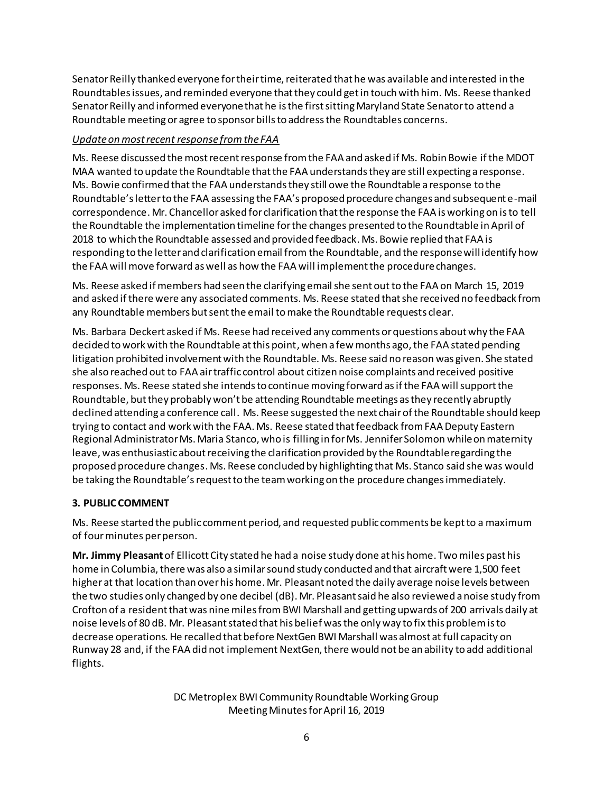Senator Reilly thanked everyone for their time, reiterated that he was available and interested in the Roundtables issues, and reminded everyone that they could get in touch with him. Ms. Reese thanked Senator Reilly and informed everyone that he is the first sitting Maryland State Senator to attend a Roundtable meeting or agree to sponsor bills to address the Roundtables concerns.

## *Update on most recent response from the FAA*

Ms. Reese discussed the most recent response from the FAA and asked if Ms. Robin Bowie if the MDOT MAA wanted to update the Roundtable that the FAA understands they are still expecting a response. Ms. Bowie confirmed that the FAA understands they still owe the Roundtable a response to the Roundtable's letter to the FAA assessing the FAA's proposed procedure changes and subsequent e-mail correspondence. Mr. Chancellor asked for clarification that the response the FAA is working on is to tell the Roundtable the implementation timeline for the changes presented to the Roundtable in April of 2018 to which the Roundtable assessed and provided feedback. Ms. Bowie replied that FAA is responding to the letter and clarification email from the Roundtable, and the response will identify how the FAA will move forward as well as how the FAA will implement the procedure changes.

Ms. Reese asked if members had seen the clarifying email she sent out to the FAA on March 15, 2019 and asked if there were any associated comments. Ms. Reese stated that she received no feedback from any Roundtable members but sentthe email to make the Roundtable requests clear.

Ms. Barbara Deckert asked if Ms. Reese had received any comments or questions about why the FAA decided to work with the Roundtable at this point, when a few months ago, the FAA stated pending litigation prohibited involvementwith the Roundtable. Ms. Reese said no reason was given. She stated she also reached out to FAA air traffic control about citizen noise complaints and received positive responses. Ms. Reese stated she intends to continue moving forward as if the FAA will support the Roundtable, but they probably won't be attending Roundtable meetings as they recently abruptly declined attending a conference call. Ms. Reese suggested the next chair of the Roundtable should keep trying to contact and work with the FAA. Ms. Reese stated that feedback from FAA Deputy Eastern Regional Administrator Ms. Maria Stanco, who is filling in for Ms. Jennifer Solomon while on maternity leave, was enthusiastic about receiving the clarification provided by the Roundtable regarding the proposed procedure changes. Ms. Reese concluded by highlighting that Ms. Stanco said she was would be taking the Roundtable's request to the team working on the procedure changes immediately.

# **3. PUBLIC COMMENT**

Ms. Reese started the public comment period, and requested public comments be kept to a maximum of fourminutes per person.

**Mr. Jimmy Pleasant**of Ellicott City stated he had a noise study done at his home. Two miles past his home in Columbia, there was also a similar sound study conducted and that aircraft were 1,500 feet higher at that location than overhis home. Mr. Pleasant noted the daily average noise levels between the two studies only changed by one decibel (dB). Mr. Pleasant said he also reviewed a noise study from Crofton of a resident that was nine miles from BWI Marshall and getting upwards of 200 arrivals daily at noise levels of 80 dB. Mr. Pleasant stated that his belief wasthe only way to fix this problem is to decrease operations. He recalled that before NextGen BWI Marshall was almost at full capacity on Runway 28 and, if the FAA did not implement NextGen, there would not be an ability to add additional flights.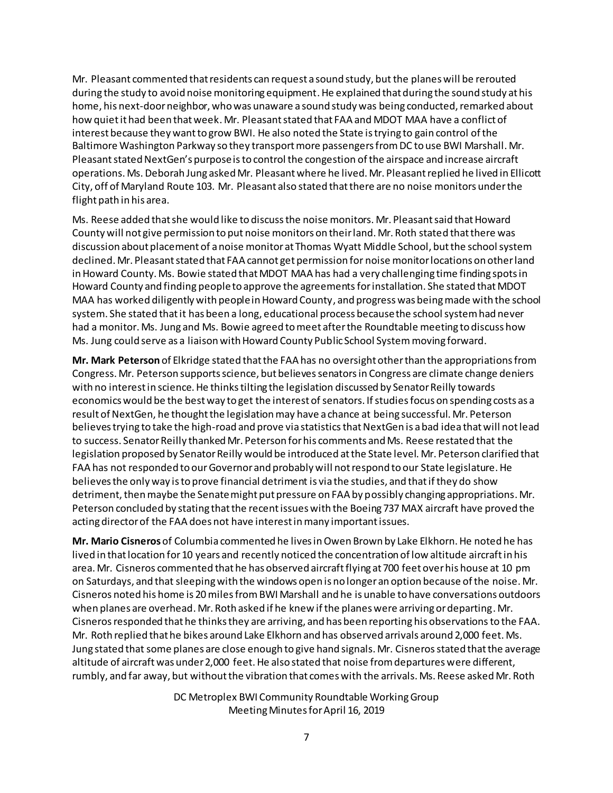Mr. Pleasant commented that residents can request a sound study, but the planes will be rerouted during the study to avoid noise monitoring equipment. He explained that during the sound study at his home, his next-doorneighbor, who was unaware a sound study was being conducted, remarked about how quiet it had been that week. Mr. Pleasant stated that FAA and MDOT MAA have a conflict of interest because they want to grow BWI. He also noted the State is trying to gain control of the Baltimore Washington Parkway so they transport more passengers from DC to use BWI Marshall. Mr. Pleasant stated NextGen's purpose is to control the congestion of the airspace and increase aircraft operations. Ms. Deborah Jung asked Mr. Pleasant where he lived. Mr. Pleasant replied he lived in Ellicott City, off of Maryland Route 103. Mr. Pleasant also stated that there are no noise monitors under the flight path in his area.

Ms. Reese added that she would like to discuss the noise monitors. Mr. Pleasant said that Howard County will not give permission to put noise monitors on their land. Mr. Roth stated that there was discussion about placement of a noise monitor at Thomas Wyatt Middle School, but the school system declined. Mr. Pleasant stated that FAA cannot get permission for noise monitor locations on other land in Howard County. Ms. Bowie stated that MDOT MAA has had a very challenging time finding spots in Howard County and finding people to approve the agreements for installation. She stated that MDOT MAA has worked diligently with people in Howard County, and progress was being made with the school system. She stated that it has been a long, educational process because the school system had never had a monitor. Ms. Jung and Ms. Bowie agreed to meet after the Roundtable meeting to discuss how Ms. Jung could serve as a liaison with Howard County Public School Systemmoving forward.

**Mr. Mark Peterson** of Elkridge stated that the FAA has no oversight other than the appropriations from Congress. Mr. Peterson supports science, but believes senators in Congress are climate change deniers with no interest in science. He thinks tilting the legislation discussed by Senator Reilly towards economics would be the best way to get the interest of senators. If studies focus on spending costs as a result of NextGen, he thought the legislation may have a chance at being successful. Mr. Peterson believes trying to take the high-road and prove via statistics that NextGen is a bad idea that will not lead to success. Senator Reilly thanked Mr. Peterson for his comments and Ms. Reese restated that the legislation proposed by Senator Reilly would be introduced at the State level. Mr. Peterson clarified that FAA has not responded to our Governor and probably will not respond to our State legislature. He believes the only way is to prove financial detriment is via the studies, and that if they do show detriment, then maybe the Senate might put pressure on FAA by possibly changing appropriations. Mr. Peterson concluded by stating that the recent issues with the Boeing 737 MAX aircraft have proved the acting director of the FAA does not have interest in many important issues.

**Mr. Mario Cisneros** of Columbia commented he lives in Owen Brown by Lake Elkhorn. He noted he has lived in that location for 10 years and recently noticed the concentration of low altitude aircraft in his area. Mr. Cisneros commented that he has observed aircraft flying at 700 feet over his house at 10 pm on Saturdays, and that sleeping with the windows open is no longer an option because of the noise. Mr. Cisneros noted his home is 20 miles from BWI Marshall and he is unable to have conversations outdoors when planes are overhead. Mr. Roth asked if he knew if the planes were arriving or departing. Mr. Cisnerosresponded that he thinks they are arriving, and has been reporting his observations to the FAA. Mr. Roth replied that he bikes around Lake Elkhorn and has observed arrivals around 2,000 feet. Ms. Jung stated that some planes are close enough to give hand signals. Mr. Cisneros stated that the average altitude of aircraft was under 2,000 feet. He also stated that noise from departures were different, rumbly, and far away, but without the vibration that comes with the arrivals. Ms. Reese asked Mr. Roth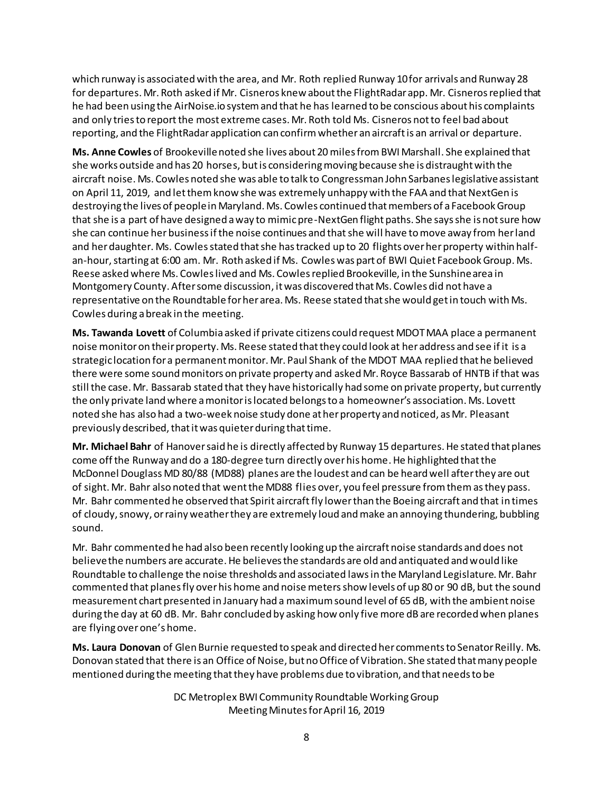which runway is associated with the area, and Mr. Roth replied Runway 10 for arrivals and Runway 28 for departures. Mr. Roth asked if Mr. Cisneros knew about the FlightRadar app. Mr. Cisnerosreplied that he had been using the AirNoise.io system and that he has learned to be conscious about his complaints and only tries to report the most extreme cases. Mr. Roth told Ms. Cisneros not to feel bad about reporting, and the FlightRadar application can confirm whether an aircraft is an arrival or departure.

**Ms. Anne Cowles** of Brookeville noted she lives about 20 miles from BWI Marshall. She explained that she works outside and has 20 horses, butis considering moving because she is distraught with the aircraft noise. Ms. Cowles noted she was able to talk to Congressman John Sarbanes legislative assistant on April 11, 2019, and let them know she was extremely unhappy with the FAA and that NextGen is destroying the lives of people in Maryland. Ms. Cowles continued that members of a Facebook Group that she is a part of have designed a way to mimic pre-NextGen flight paths. She says she is not sure how she can continue her business if the noise continues and that she will have to move away from her land and her daughter. Ms. Cowles stated that she has tracked up to 20 flights over her property within halfan-hour, starting at 6:00 am. Mr. Roth asked if Ms. Cowles was part of BWI Quiet Facebook Group. Ms. Reese asked where Ms. Cowles lived and Ms. Cowlesreplied Brookeville, in the Sunshine area in Montgomery County. After some discussion, it was discovered that Ms. Cowles did not have a representative on the Roundtable for her area. Ms. Reese stated that she would get in touch with Ms. Cowles during abreak in the meeting.

**Ms. Tawanda Lovett** of Columbia asked if private citizens could request MDOT MAA place a permanent noise monitor on their property. Ms. Reese stated that they could look at her address and see if it is a strategic location for a permanent monitor. Mr. Paul Shank of the MDOT MAA replied that he believed there were some sound monitors on private property and asked Mr. Royce Bassarab of HNTB if that was still the case. Mr. Bassarab stated that they have historically had some on private property, but currently the only private land where a monitor is located belongs to a homeowner's association. Ms. Lovett noted she has also had a two-week noise study done at her property and noticed, as Mr. Pleasant previously described, that it was quieter during that time.

**Mr. Michael Bahr** of Hanover said he is directly affected by Runway 15 departures. He stated that planes come off the Runway and do a 180-degree turn directly over his home. He highlighted that the McDonnel Douglass MD 80/88 (MD88) planes are the loudest and can be heard well after they are out of sight. Mr. Bahr also noted that went the MD88 flies over, you feel pressure from them as they pass. Mr. Bahr commented he observed that Spirit aircraftfly lower than the Boeing aircraft and that in times of cloudy, snowy, or rainy weather they are extremely loud and make an annoying thundering, bubbling sound.

Mr. Bahr commented he had also been recently looking up the aircraft noise standards and does not believe the numbers are accurate. He believes the standards are old and antiquated and would like Roundtable to challenge the noise thresholds and associated lawsin the Maryland Legislature. Mr. Bahr commented that planes fly over his home and noise metersshow levels of up 80 or 90 dB, but the sound measurement chart presented in January had a maximum sound level of 65 dB, with the ambient noise during the day at 60 dB. Mr. Bahr concluded by asking how only five more dB are recorded when planes are flying over one's home.

**Ms. Laura Donovan** of Glen Burnie requested to speak and directed her comments to Senator Reilly. Ms. Donovan stated that there is an Office of Noise, but no Office of Vibration. She stated that many people mentioned during the meeting thatthey have problems due to vibration, and that needs to be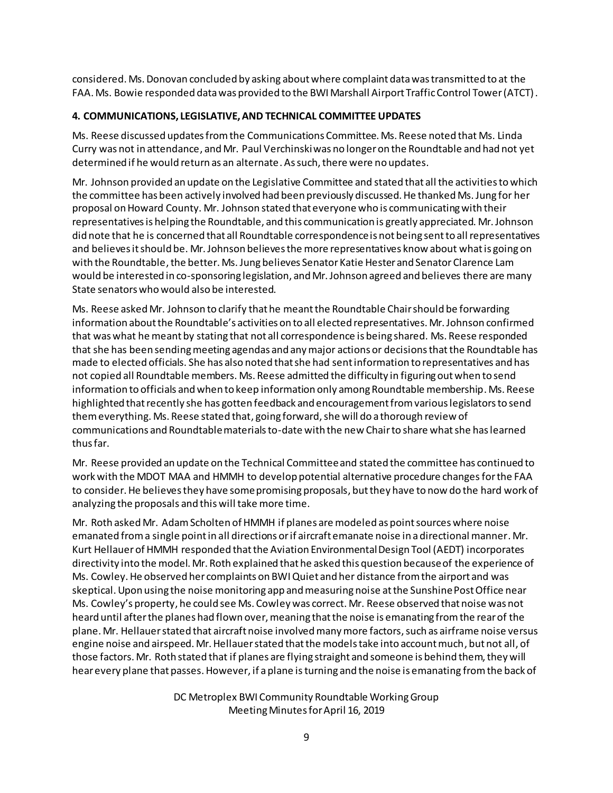considered. Ms. Donovan concluded by asking about where complaint data was transmitted to at the FAA. Ms. Bowie responded data was provided to the BWI Marshall Airport Traffic Control Tower (ATCT).

# **4. COMMUNICATIONS, LEGISLATIVE, AND TECHNICAL COMMITTEE UPDATES**

Ms. Reese discussed updates from the Communications Committee. Ms. Reese noted that Ms. Linda Curry was not in attendance, and Mr. Paul Verchinski was no longer on the Roundtable and had not yet determined if he would return as an alternate. As such, there were no updates.

Mr. Johnson provided an update on the Legislative Committee and stated that all the activities to which the committee has been actively involved had been previously discussed.He thanked Ms. Jung for her proposal on Howard County. Mr. Johnson stated that everyone who is communicating with their representatives is helping the Roundtable, and this communication is greatly appreciated. Mr. Johnson did note that he is concerned that all Roundtable correspondence is not being sent to all representatives and believes it should be. Mr. Johnson believes the more representatives know about whatis going on with the Roundtable, the better. Ms. Jung believes Senator Katie Hester and Senator Clarence Lam would be interested in co-sponsoring legislation, and Mr. Johnson agreed and believes there are many State senators who would also be interested.

Ms. Reese asked Mr. Johnson to clarify that he meant the Roundtable Chair should be forwarding information about the Roundtable's activities on to all elected representatives. Mr. Johnson confirmed that was what he meant by stating that not all correspondence is being shared. Ms. Reese responded that she has been sending meeting agendas and any major actions or decisions that the Roundtable has made to elected officials. She has also noted that she had sent information to representatives and has not copied all Roundtable members. Ms. Reese admitted the difficulty in figuring out when to send information to officials and when to keep information only among Roundtable membership. Ms. Reese highlighted that recently she has gotten feedback and encouragement from various legislators to send them everything. Ms. Reese stated that, going forward, she will do a thorough review of communications and Roundtable materials to-date with the new Chair to share whatshe has learned thus far.

Mr. Reese provided an update on the Technical Committee and stated the committee has continued to work with the MDOT MAA and HMMH to develop potential alternative procedure changes forthe FAA to consider. He believes they have some promising proposals, but they have to now do the hard work of analyzing the proposals and this will take more time.

Mr. Roth asked Mr. Adam Scholten of HMMH if planes are modeled as point sources where noise emanated from a single point in all directions or if aircraft emanate noise in a directional manner. Mr. Kurt Hellauerof HMMH responded that the Aviation Environmental Design Tool (AEDT) incorporates directivity into the model. Mr. Roth explained that he asked this question because of the experience of Ms. Cowley. He observed her complaints on BWIQuiet and her distance from the airport and was skeptical. Upon using the noise monitoring app and measuring noise at the Sunshine Post Office near Ms. Cowley's property, he could see Ms. Cowley was correct. Mr. Reese observed that noise was not heard until after the planes had flown over, meaning that the noise is emanating from the rear of the plane. Mr. Hellauer stated that aircraft noise involved many more factors, such as airframe noise versus engine noise and airspeed. Mr. Hellauer stated that the models take into account much, but not all, of those factors. Mr. Roth stated that if planes are flying straight and someone is behind them, they will hear every plane that passes. However, if a plane is turning and the noise is emanating from the back of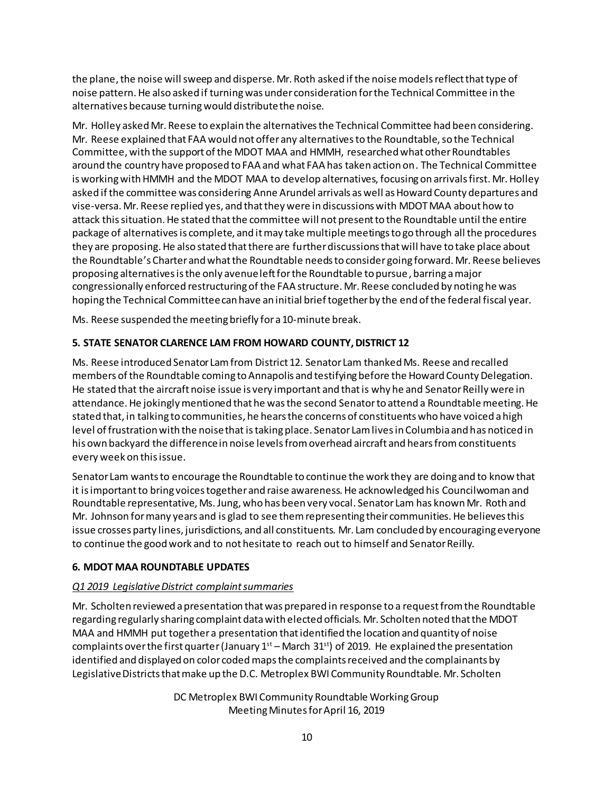the plane, the noise will sweep and disperse. Mr. Roth asked if the noise models reflect that type of noise pattern. He also asked if turningwas under consideration for the Technical Committee in the alternatives because turningwould distribute the noise.

Mr. Holley asked Mr. Reese to explain the alternatives the Technical Committee had been considering. Mr. Reese explained that FAA would not offer any alternativesto the Roundtable, so the Technical Committee, with the support of the MDOT MAA and HMMH, researched what other Roundtables around the country have proposed to FAA and what FAA has taken action on. The Technical Committee isworking with HMMH and the MDOT MAA to develop alternatives, focusing on arrivals first. Mr. Holley asked if the committee was considering Anne Arundel arrivals as well as Howard County departures and vise-versa. Mr. Reese replied yes, and that they were in discussions with MDOT MAA about how to attack this situation. He stated that the committee will not present to the Roundtable until the entire package of alternatives is complete, and it may take multiple meetings to go through all the procedures they are proposing. He also stated that there are further discussions that will have to take place about the Roundtable's Charter and what the Roundtable needs to consider going forward. Mr. Reese believes proposing alternatives is the only avenue left for the Roundtable to pursue, barring a major congressionally enforced restructuring of the FAA structure. Mr. Reese concluded by noting he was hoping the Technical Committee can have an initial brief together by the end of the federal fiscal year.

Ms. Reese suspended the meeting briefly for a 10-minute break.

# **5. STATE SENATOR CLARENCE LAM FROM HOWARD COUNTY, DISTRICT 12**

Ms. Reese introduced Senator Lam from District 12. Senator Lam thanked Ms. Reese and recalled members of the Roundtable coming to Annapolis and testifying before the Howard County Delegation. He stated that the aircraft noise issue is very important and that is why he and Senator Reilly were in attendance. He jokingly mentioned that he was the second Senator to attend a Roundtable meeting. He stated that, in talking to communities, he hears the concerns of constituents who have voiced a high level of frustration with the noise that is taking place. Senator Lam lives in Columbia and has noticed in his own backyard the difference in noise levelsfrom overhead aircraft and hears from constituents every week on this issue.

Senator Lam wants to encourage the Roundtable to continue the work they are doing and to know that it is important to bring voices together and raise awareness. He acknowledged his Councilwoman and Roundtable representative, Ms.Jung, who has been very vocal. Senator Lam has known Mr. Roth and Mr. Johnson for many years and is glad to see them representing their communities. He believes this issue crosses party lines, jurisdictions, and all constituents. Mr. Lam concluded by encouraging everyone to continue the good work and to not hesitate to reach out to himself and Senator Reilly.

## **6. MDOT MAA ROUNDTABLE UPDATES**

## *Q1 2019 Legislative District complaint summaries*

Mr. Scholten reviewed a presentation that was prepared in response to a request from the Roundtable regarding regularly sharing complaint data with elected officials. Mr. Scholten noted that the MDOT MAA and HMMH put together a presentation that identified the location and quantity of noise complaints over the first quarter (January  $1<sup>st</sup>$  – March 31<sup>st</sup>) of 2019. He explained the presentation identified and displayed on color coded maps the complaints received and the complainants by Legislative Districts that make up the D.C. Metroplex BWI Community Roundtable. Mr. Scholten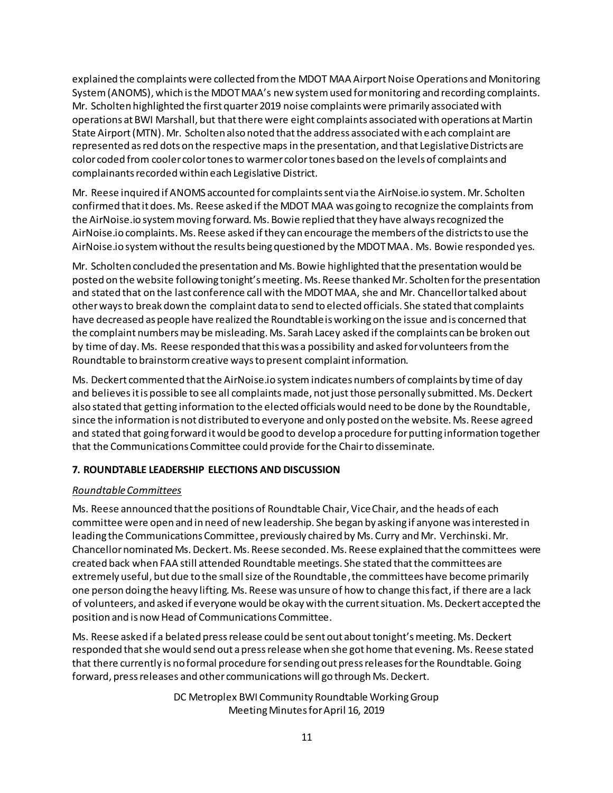explained the complaints were collected from the MDOT MAA Airport Noise Operations and Monitoring System(ANOMS), which is the MDOT MAA's new system used for monitoring and recording complaints. Mr. Scholten highlighted the first quarter 2019 noise complaints were primarily associated with operations at BWI Marshall, but that there were eight complaints associated with operations at Martin State Airport(MTN). Mr. Scholten also noted that the address associated with each complaint are represented as red dots on the respective mapsin the presentation, and that Legislative Districts are color coded from cooler color tones to warmer color tones based on the levels of complaints and complainants recorded within each Legislative District.

Mr. Reese inquired if ANOMS accounted for complaints sent via the AirNoise.io system. Mr. Scholten confirmed that it does. Ms. Reese asked if the MDOT MAA was going to recognize the complaints from the AirNoise.io system moving forward. Ms. Bowie replied that they have always recognized the AirNoise.io complaints. Ms. Reese asked if they can encourage the members of the districts to use the AirNoise.io system without the results being questioned by the MDOT MAA. Ms. Bowie responded yes.

Mr. Scholten concluded the presentation and Ms. Bowie highlighted that the presentation would be posted on the website following tonight's meeting. Ms. Reese thanked Mr. Scholten for the presentation and stated that on the last conference call with the MDOT MAA, she and Mr. Chancellor talked about other ways to break down the complaint data to send to elected officials. She stated that complaints have decreased as people have realized the Roundtable is working on the issue and is concerned that the complaint numbers may be misleading. Ms. Sarah Lacey asked if the complaints can be broken out by time of day. Ms. Reese responded that this was a possibility and asked for volunteers from the Roundtable to brainstorm creative ways to present complaint information.

Ms. Deckert commented thatthe AirNoise.io systemindicates numbers of complaints by time of day and believes it is possible to see all complaints made, not just those personally submitted. Ms. Deckert also stated that getting information to the elected officials would need to be done by the Roundtable, since the information is not distributed to everyone and only posted on the website. Ms. Reese agreed and stated that going forward it would be good to develop a procedure for putting information together that the Communications Committee could provide forthe Chair to disseminate.

# **7. ROUNDTABLE LEADERSHIP ELECTIONS AND DISCUSSION**

## *Roundtable Committees*

Ms. Reese announced that the positions of Roundtable Chair, Vice Chair, and the heads of each committee were open and in need of new leadership. She began by asking if anyone was interested in leading the Communications Committee, previously chaired by Ms. Curry and Mr. Verchinski. Mr. Chancellor nominated Ms. Deckert. Ms. Reese seconded. Ms. Reese explained that the committees were created back when FAA still attended Roundtable meetings. She stated that the committees are extremely useful, but due to the small size of the Roundtable, the committees have become primarily one person doing the heavy lifting. Ms. Reese was unsure of how to change this fact, if there are a lack of volunteers, and asked if everyone would be okay with the current situation. Ms. Deckert accepted the position and is now Head of Communications Committee.

Ms. Reese asked if a belated press release could be sent out about tonight'smeeting. Ms. Deckert responded that she would send out a press release when she got home that evening. Ms. Reese stated that there currently is no formal procedure for sending out press releases for the Roundtable. Going forward, press releases and other communications will go through Ms. Deckert.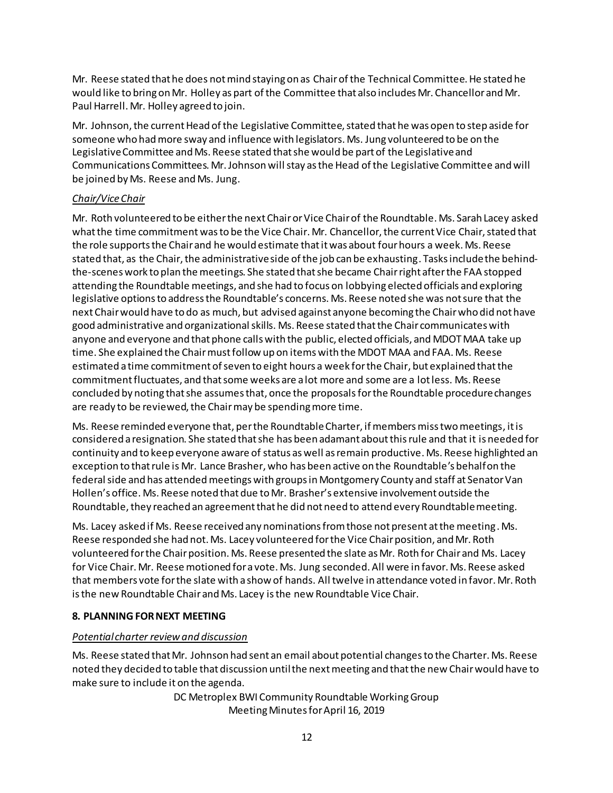Mr. Reese stated that he does not mind staying on as Chair of the Technical Committee. He stated he would like to bring on Mr. Holley as part of the Committee that also includes Mr. Chancellor and Mr. Paul Harrell. Mr. Holley agreed to join.

Mr. Johnson, the current Head of the Legislative Committee, stated that he was open to step aside for someone who had more sway and influence with legislators. Ms. Jung volunteered to be on the Legislative Committee and Ms. Reese stated that she would be part of the Legislative and Communications Committees. Mr. Johnson will stay as the Head of the Legislative Committee and will be joined by Ms. Reese and Ms. Jung.

## *Chair/Vice Chair*

Mr. Roth volunteered to be either the next Chair or Vice Chair of the Roundtable. Ms. Sarah Lacey asked what the time commitment was to be the Vice Chair. Mr. Chancellor, the current Vice Chair, stated that the role supports the Chair and he would estimate that it was about four hours a week. Ms. Reese stated that, as the Chair, the administrative side of the job can be exhausting. Tasksinclude the behindthe-scenes work to plan the meetings. She stated that she became Chair right after the FAA stopped attending the Roundtable meetings, and she had to focus on lobbying elected officials and exploring legislative options to address the Roundtable's concerns. Ms. Reese noted she was not sure that the next Chair would have to do as much, but advised against anyone becoming the Chair who did not have good administrative and organizational skills. Ms. Reese stated that the Chair communicates with anyone and everyone and that phone calls with the public, elected officials, and MDOT MAA take up time. She explained the Chair must follow up on items with the MDOT MAA and FAA. Ms. Reese estimated a time commitment of seven to eight hours a week for the Chair, but explained that the commitment fluctuates, and that some weeks are a lot more and some are a lot less. Ms. Reese concluded by noting that she assumes that, once the proposalsfor the Roundtable procedure changes are ready to be reviewed, the Chair may be spending more time.

Ms. Reese reminded everyone that, per the Roundtable Charter, if members miss two meetings, itis considered a resignation. She stated that she has been adamant about this rule and that it is needed for continuity and to keep everyone aware of status as well as remain productive. Ms. Reese highlighted an exception to that rule is Mr. Lance Brasher, who has been active on the Roundtable's behalf on the federal side and has attended meetings with groups in Montgomery County and staff at Senator Van Hollen's office. Ms. Reese noted that due to Mr. Brasher's extensive involvement outside the Roundtable, they reached an agreement that he did not need to attend every Roundtable meeting.

Ms. Lacey asked if Ms. Reese received any nominations from those not present at the meeting. Ms. Reese responded she had not. Ms. Lacey volunteered for the Vice Chair position, and Mr. Roth volunteered for the Chair position. Ms. Reese presented the slate as Mr. Roth for Chair and Ms. Lacey for Vice Chair. Mr. Reese motioned for a vote. Ms. Jung seconded. All were in favor. Ms. Reese asked that members vote for the slate with a show of hands. All twelve in attendance voted in favor. Mr. Roth is the new Roundtable Chair and Ms. Lacey is the new Roundtable Vice Chair.

# **8. PLANNING FOR NEXT MEETING**

# *Potential charter review and discussion*

Ms. Reese stated that Mr. Johnson had sent an email about potential changes to the Charter. Ms. Reese noted they decided to table that discussion until the next meeting and that the new Chair would have to make sure to include it on the agenda.